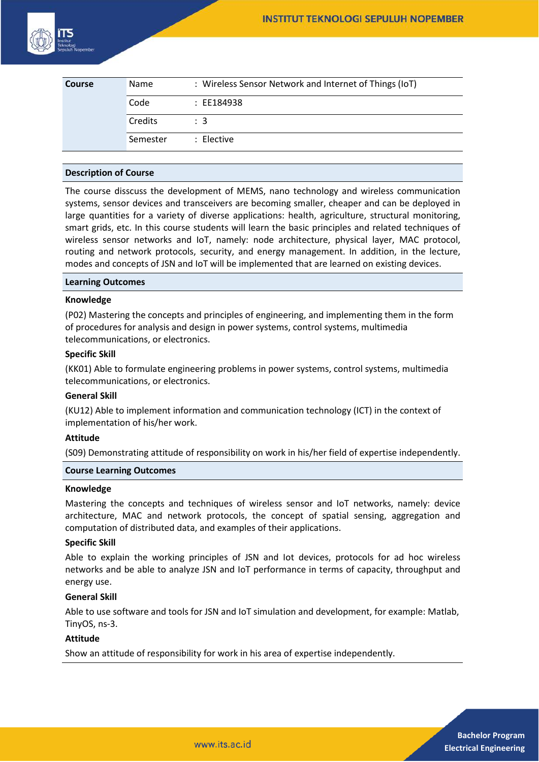

| <b>Course</b> | Name     | : Wireless Sensor Network and Internet of Things (IoT) |
|---------------|----------|--------------------------------------------------------|
|               | Code     | : EE184938                                             |
|               | Credits  | $\therefore$ 3                                         |
|               | Semester | : Elective                                             |

#### **Description of Course**

The course disscuss the development of MEMS, nano technology and wireless communication systems, sensor devices and transceivers are becoming smaller, cheaper and can be deployed in large quantities for a variety of diverse applications: health, agriculture, structural monitoring, smart grids, etc. In this course students will learn the basic principles and related techniques of wireless sensor networks and IoT, namely: node architecture, physical layer, MAC protocol, routing and network protocols, security, and energy management. In addition, in the lecture, modes and concepts of JSN and IoT will be implemented that are learned on existing devices.

#### **Learning Outcomes**

#### **Knowledge**

(P02) Mastering the concepts and principles of engineering, and implementing them in the form of procedures for analysis and design in power systems, control systems, multimedia telecommunications, or electronics.

#### **Specific Skill**

(KK01) Able to formulate engineering problems in power systems, control systems, multimedia telecommunications, or electronics.

#### **General Skill**

(KU12) Able to implement information and communication technology (ICT) in the context of implementation of his/her work.

#### **Attitude**

(S09) Demonstrating attitude of responsibility on work in his/her field of expertise independently.

### **Course Learning Outcomes**

#### **Knowledge**

Mastering the concepts and techniques of wireless sensor and IoT networks, namely: device architecture, MAC and network protocols, the concept of spatial sensing, aggregation and computation of distributed data, and examples of their applications.

#### **Specific Skill**

Able to explain the working principles of JSN and Iot devices, protocols for ad hoc wireless networks and be able to analyze JSN and IoT performance in terms of capacity, throughput and energy use.

#### **General Skill**

Able to use software and tools for JSN and IoT simulation and development, for example: Matlab, TinyOS, ns-3.

### **Attitude**

Show an attitude of responsibility for work in his area of expertise independently.